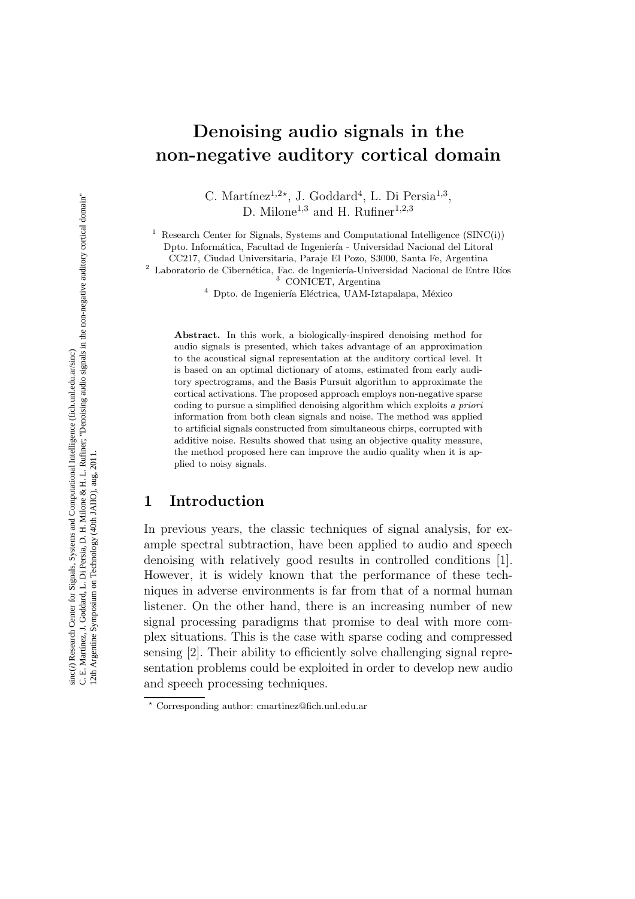# C. E. Martínez, J. Goddard, L. Di Persia, D. H. Milone & H. L. Rufiner; "Denoising audio signals in the non-negative auditory cortical domain" C. E. Martínez, J. Goddard, L. Di Persia, D. H. Milone & H. L. Rufiner; "Denoising audio signals in the non-negative auditory cortical domain" inc(i) Research Center for Signals, Systems and Computational Intelligence (fich.unl.edu.ar/sinc) sinc(*i*) Research Center for Signals, Systems and Computational Intelligence (fich.unl.edu.ar/sinc) 2th Argentine Symposium on Technology (40th JAIIO), aug, 2011. 12th Argentine Symposium on Technology (40th JAIIO), aug, 2011.

# Denoising audio signals in the non-negative auditory cortical domain

C. Martínez<sup>1,2\*</sup>, J. Goddard<sup>4</sup>, L. Di Persia<sup>1,3</sup>, D. Milone<sup>1,3</sup> and H. Rufiner<sup>1,2,3</sup>

<sup>1</sup> Research Center for Signals, Systems and Computational Intelligence  $(SINC(i))$ Dpto. Informática, Facultad de Ingeniería - Universidad Nacional del Litoral

CC217, Ciudad Universitaria, Paraje El Pozo, S3000, Santa Fe, Argentina

 $2$  Laboratorio de Cibernética, Fac. de Ingeniería-Universidad Nacional de Entre Ríos

<sup>3</sup> CONICET, Argentina

 $4$  Dpto. de Ingeniería Eléctrica, UAM-Iztapalapa, México

Abstract. In this work, a biologically-inspired denoising method for audio signals is presented, which takes advantage of an approximation to the acoustical signal representation at the auditory cortical level. It is based on an optimal dictionary of atoms, estimated from early auditory spectrograms, and the Basis Pursuit algorithm to approximate the cortical activations. The proposed approach employs non-negative sparse coding to pursue a simplified denoising algorithm which exploits *a priori* information from both clean signals and noise. The method was applied to artificial signals constructed from simultaneous chirps, corrupted with additive noise. Results showed that using an objective quality measure, the method proposed here can improve the audio quality when it is applied to noisy signals.

# 1 Introduction

In previous years, the classic techniques of signal analysis, for example spectral subtraction, have been applied to audio and speech denoising with relatively good results in controlled conditions [1]. However, it is widely known that the performance of these techniques in adverse environments is far from that of a normal human listener. On the other hand, there is an increasing number of new signal processing paradigms that promise to deal with more complex situations. This is the case with sparse coding and compressed sensing [2]. Their ability to efficiently solve challenging signal representation problems could be exploited in order to develop new audio and speech processing techniques.

<sup>⋆</sup> Corresponding author: cmartinez@fich.unl.edu.ar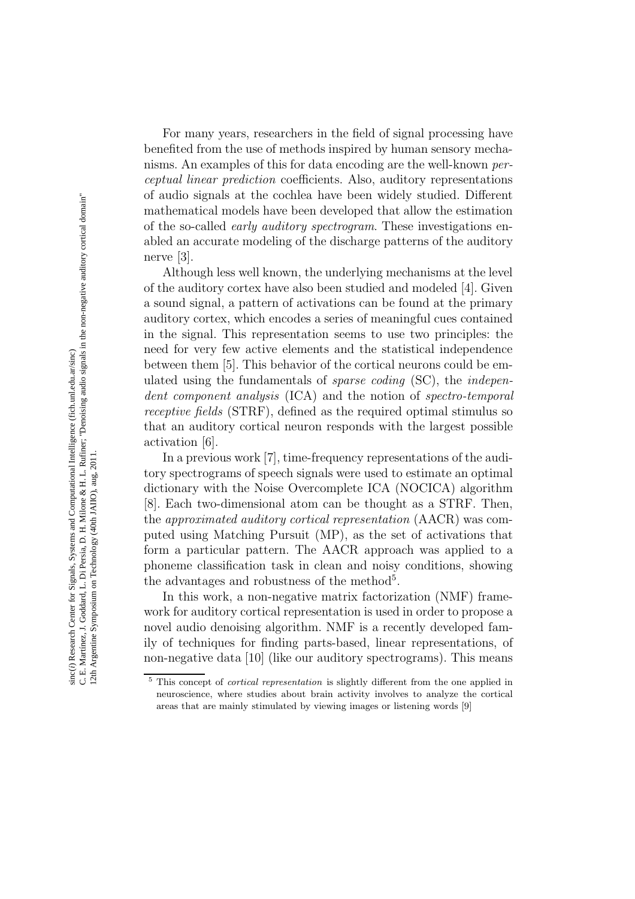For many years, researchers in the field of signal processing have benefited from the use of methods inspired by human sensory mechanisms. An examples of this for data encoding are the well-known perceptual linear prediction coefficients. Also, auditory representations of audio signals at the cochlea have been widely studied. Different mathematical models have been developed that allow the estimation of the so-called early auditory spectrogram. These investigations enabled an accurate modeling of the discharge patterns of the auditory nerve [3].

Although less well known, the underlying mechanisms at the level of the auditory cortex have also been studied and modeled [4]. Given a sound signal, a pattern of activations can be found at the primary auditory cortex, which encodes a series of meaningful cues contained in the signal. This representation seems to use two principles: the need for very few active elements and the statistical independence between them [5]. This behavior of the cortical neurons could be emulated using the fundamentals of sparse coding (SC), the independent component analysis (ICA) and the notion of spectro-temporal receptive fields (STRF), defined as the required optimal stimulus so that an auditory cortical neuron responds with the largest possible activation [6].

In a previous work [7], time-frequency representations of the auditory spectrograms of speech signals were used to estimate an optimal dictionary with the Noise Overcomplete ICA (NOCICA) algorithm [8]. Each two-dimensional atom can be thought as a STRF. Then, the approximated auditory cortical representation (AACR) was computed using Matching Pursuit (MP), as the set of activations that form a particular pattern. The AACR approach was applied to a phoneme classification task in clean and noisy conditions, showing the advantages and robustness of the method<sup>5</sup>.

In this work, a non-negative matrix factorization (NMF) framework for auditory cortical representation is used in order to propose a novel audio denoising algorithm. NMF is a recently developed family of techniques for finding parts-based, linear representations, of non-negative data [10] (like our auditory spectrograms). This means

<sup>5</sup> This concept of *cortical representation* is slightly different from the one applied in neuroscience, where studies about brain activity involves to analyze the cortical areas that are mainly stimulated by viewing images or listening words [9]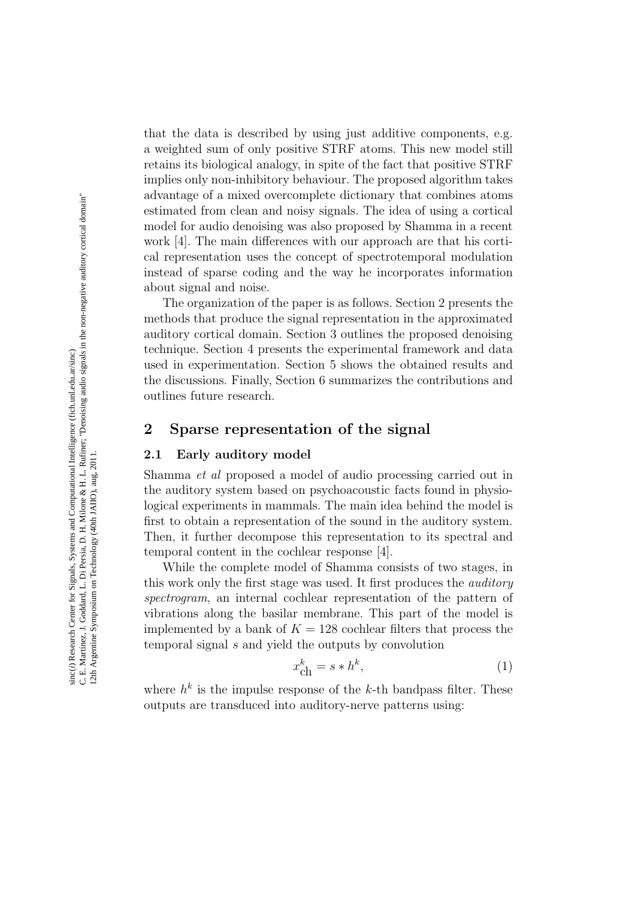that the data is described by using just additive components, e.g. a weighted sum of only positive STRF atoms. This new model still retains its biological analogy, in spite of the fact that positive STRF implies only non-inhibitory behaviour. The proposed algorithm takes advantage of a mixed overcomplete dictionary that combines atoms estimated from clean and noisy signals. The idea of using a cortical model for audio denoising was also proposed by Shamma in a recent work [4]. The main differences with our approach are that his cortical representation uses the concept of spectrotemporal modulation instead of sparse coding and the way he incorporates information about signal and noise.

The organization of the paper is as follows. Section 2 presents the methods that produce the signal representation in the approximated auditory cortical domain. Section 3 outlines the proposed denoising technique. Section 4 presents the experimental framework and data used in experimentation. Section 5 shows the obtained results and the discussions. Finally, Section 6 summarizes the contributions and outlines future research. Examinated from the animate of some observation and noise in the combined and the space of similar and the paper cal representation uses the concept of paper cal representation uses the concept of spectrotemporal measure

### 2 Sparse representation of the signal

### 2.1 Early auditory model

Shamma et al proposed a model of audio processing carried out in the auditory system based on psychoacoustic facts found in physiological experiments in mammals. The main idea behind the model is first to obtain a representation of the sound in the auditory system. Then, it further decompose this representation to its spectral and temporal content in the cochlear response [4].

While the complete model of Shamma consists of two stages, in this work only the first stage was used. It first produces the *auditory* spectrogram, an internal cochlear representation of the pattern of vibrations along the basilar membrane. This part of the model is implemented by a bank of  $K = 128$  cochlear filters that process the temporal signal s and yield the outputs by convolution

$$
x_{\text{ch}}^k = s * h^k,\tag{1}
$$

where  $h^k$  is the impulse response of the k-th bandpass filter. These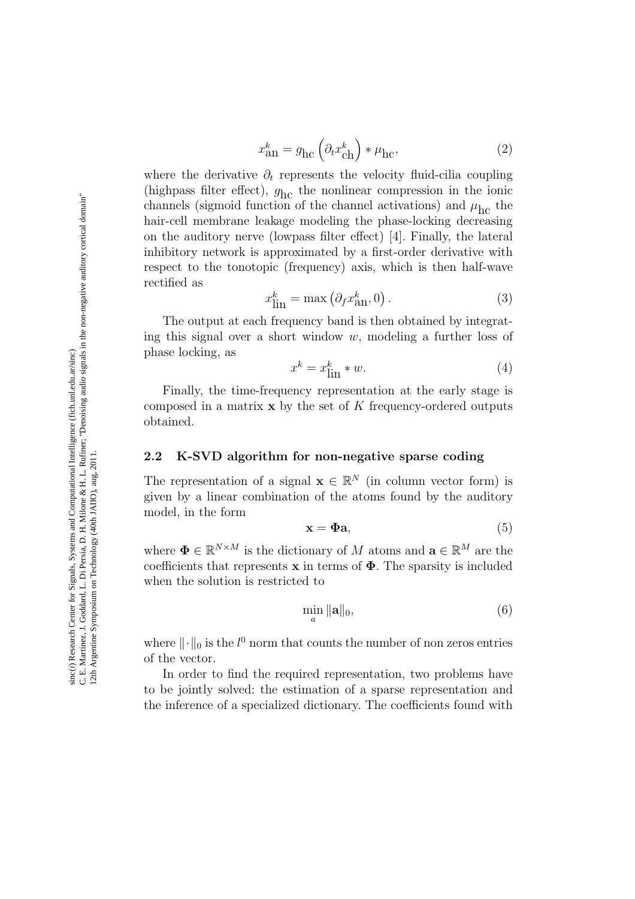$$
x_{\rm an}^k = g_{\rm hc} \left( \partial_t x_{\rm ch}^k \right) * \mu_{\rm hc},\tag{2}
$$

where the derivative  $\partial_t$  represents the velocity fluid-cilia coupling (highpass filter effect),  $g_{\text{hc}}$  the nonlinear compression in the ionic channels (sigmoid function of the channel activations) and  $\mu_{\rm hc}$  the hair-cell membrane leakage modeling the phase-locking decreasing on the auditory nerve (lowpass filter effect) [4]. Finally, the lateral inhibitory network is approximated by a first-order derivative with respect to the tonotopic (frequency) axis, which is then half-wave rectified as

$$
x_{\text{lin}}^k = \max\left(\partial_f x_{\text{an}}^k, 0\right). \tag{3}
$$

The output at each frequency band is then obtained by integrating this signal over a short window  $w$ , modeling a further loss of phase locking, as

$$
x^k = x_{\text{lin}}^k * w. \tag{4}
$$

Finally, the time-frequency representation at the early stage is composed in a matrix  $x$  by the set of K frequency-ordered outputs obtained.

### 2.2 K-SVD algorithm for non-negative sparse coding

The representation of a signal  $\mathbf{x} \in \mathbb{R}^N$  (in column vector form) is given by a linear combination of the atoms found by the auditory model, in the form

$$
\mathbf{x} = \mathbf{\Phi}\mathbf{a},\tag{5}
$$

where  $\mathbf{\Phi} \in \mathbb{R}^{N \times M}$  is the dictionary of M atoms and  $\mathbf{a} \in \mathbb{R}^{M}$  are the coefficients that represents  $x$  in terms of  $\Phi$ . The sparsity is included when the solution is restricted to

$$
\min_{a} \|\mathbf{a}\|_{0},\tag{6}
$$

where  $\|\cdot\|_0$  is the  $l^0$  norm that counts the number of non zeros entries of the vector.

In order to find the required representation, two problems have to be jointly solved: the estimation of a sparse representation and the inference of a specialized dictionary. The coefficients found with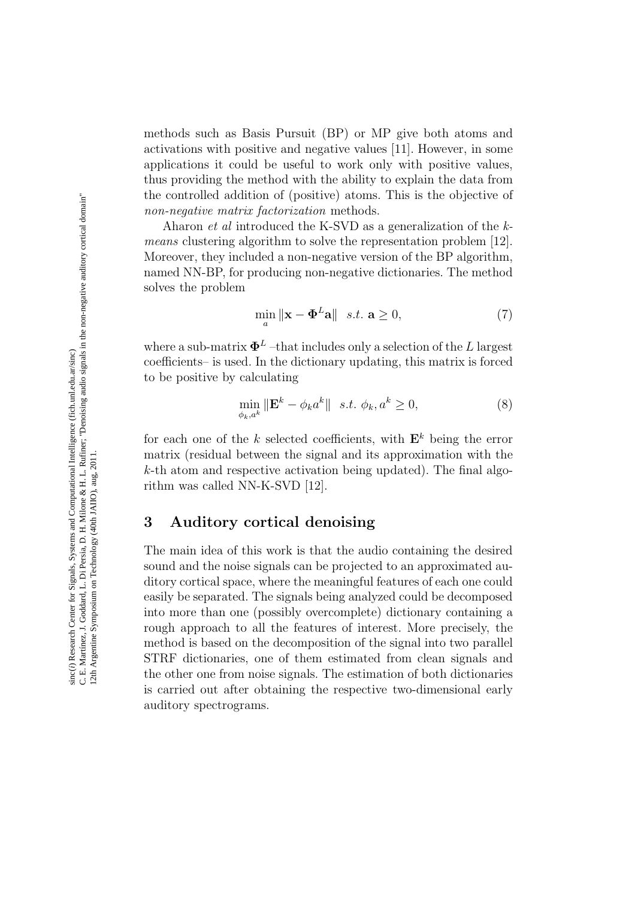methods such as Basis Pursuit (BP) or MP give both atoms and activations with positive and negative values [11]. However, in some applications it could be useful to work only with positive values, thus providing the method with the ability to explain the data from the controlled addition of (positive) atoms. This is the objective of non-negative matrix factorization methods.

Aharon *et al* introduced the K-SVD as a generalization of the kmeans clustering algorithm to solve the representation problem [12]. Moreover, they included a non-negative version of the BP algorithm, named NN-BP, for producing non-negative dictionaries. The method solves the problem

$$
\min_{a} \|\mathbf{x} - \mathbf{\Phi}^{L}\mathbf{a}\| \quad s.t. \ \mathbf{a} \ge 0,
$$
\n(7)

where a sub-matrix  $\mathbf{\Phi}^{L}$  –that includes only a selection of the L largest coefficients– is used. In the dictionary updating, this matrix is forced to be positive by calculating

$$
\min_{\phi_k, a^k} \|\mathbf{E}^k - \phi_k a^k\| \quad s.t. \ \phi_k, a^k \ge 0,
$$
\n<sup>(8)</sup>

for each one of the k selected coefficients, with  $\mathbf{E}^k$  being the error matrix (residual between the signal and its approximation with the k-th atom and respective activation being updated). The final algorithm was called NN-K-SVD [12].

# 3 Auditory cortical denoising

The main idea of this work is that the audio containing the desired sound and the noise signals can be projected to an approximated auditory cortical space, where the meaningful features of each one could easily be separated. The signals being analyzed could be decomposed into more than one (possibly overcomplete) dictionary containing a rough approach to all the features of interest. More precisely, the method is based on the decomposition of the signal into two parallel STRF dictionaries, one of them estimated from clean signals and the other one from noise signals. The estimation of both dictionaries is carried out after obtaining the respective two-dimensional early auditory spectrograms.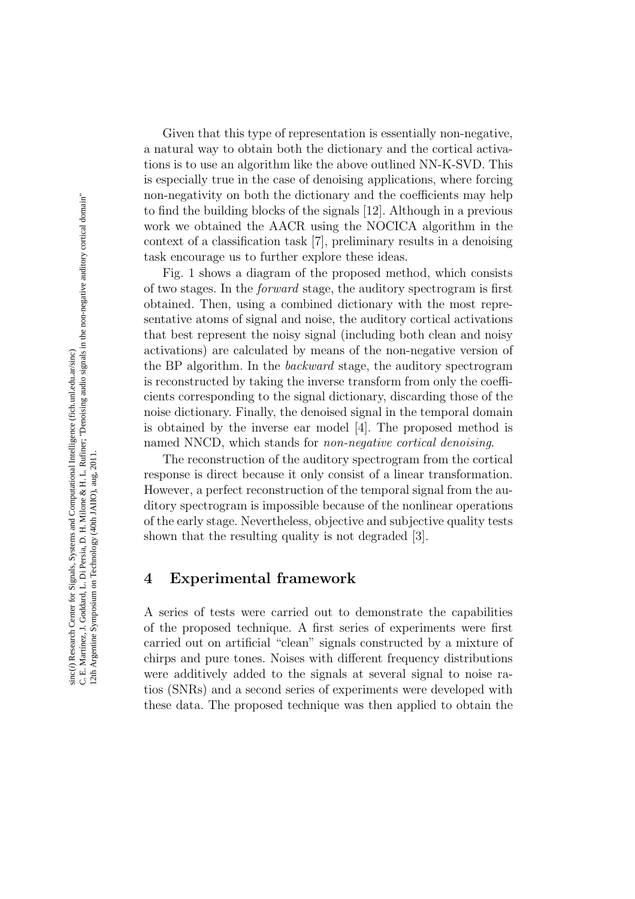Given that this type of representation is essentially non-negative, a natural way to obtain both the dictionary and the cortical activations is to use an algorithm like the above outlined NN-K-SVD. This is especially true in the case of denoising applications, where forcing non-negativity on both the dictionary and the coefficients may help to find the building blocks of the signals [12]. Although in a previous work we obtained the AACR using the NOCICA algorithm in the context of a classification task [7], preliminary results in a denoising task encourage us to further explore these ideas.

Fig. 1 shows a diagram of the proposed method, which consists of two stages. In the forward stage, the auditory spectrogram is first obtained. Then, using a combined dictionary with the most representative atoms of signal and noise, the auditory cortical activations that best represent the noisy signal (including both clean and noisy activations) are calculated by means of the non-negative version of the BP algorithm. In the backward stage, the auditory spectrogram is reconstructed by taking the inverse transform from only the coefficients corresponding to the signal dictionary, discarding those of the noise dictionary. Finally, the denoised signal in the temporal domain is obtained by the inverse ear model [4]. The proposed method is named NNCD, which stands for *non-negative cortical denoising*.

The reconstruction of the auditory spectrogram from the cortical response is direct because it only consist of a linear transformation. However, a perfect reconstruction of the temporal signal from the auditory spectrogram is impossible because of the nonlinear operations of the early stage. Nevertheless, objective and subjective quality tests shown that the resulting quality is not degraded [3].

# 4 Experimental framework

A series of tests were carried out to demonstrate the capabilities of the proposed technique. A first series of experiments were first carried out on artificial "clean" signals constructed by a mixture of chirps and pure tones. Noises with different frequency distributions were additively added to the signals at several signal to noise ratios (SNRs) and a second series of experiments were developed with these data. The proposed technique was then applied to obtain the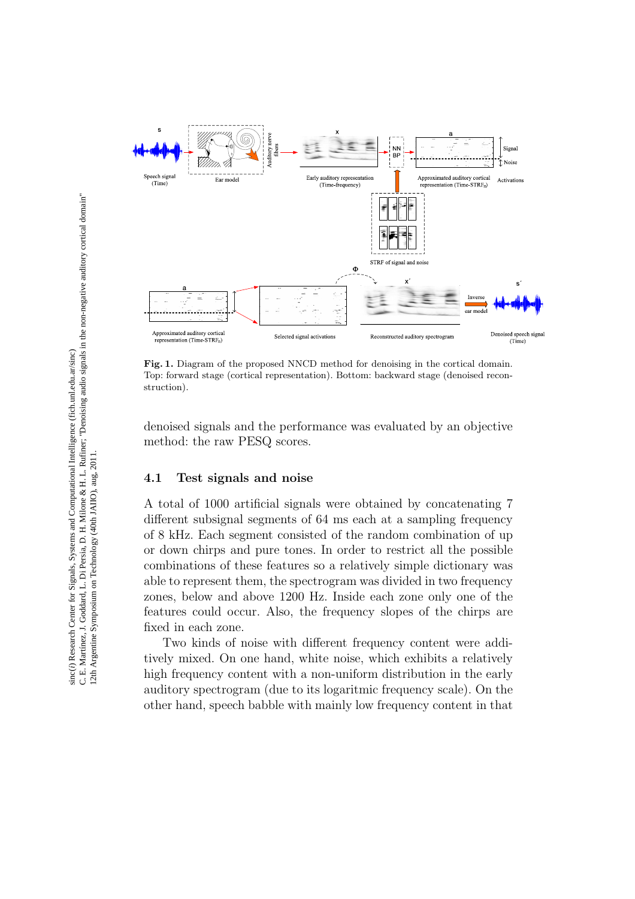

Fig. 1. Diagram of the proposed NNCD method for denoising in the cortical domain. Top: forward stage (cortical representation). Bottom: backward stage (denoised reconstruction).

denoised signals and the performance was evaluated by an objective method: the raw PESQ scores.

### 4.1 Test signals and noise

A total of 1000 artificial signals were obtained by concatenating 7 different subsignal segments of 64 ms each at a sampling frequency of 8 kHz. Each segment consisted of the random combination of up or down chirps and pure tones. In order to restrict all the possible combinations of these features so a relatively simple dictionary was able to represent them, the spectrogram was divided in two frequency zones, below and above 1200 Hz. Inside each zone only one of the features could occur. Also, the frequency slopes of the chirps are fixed in each zone.

Two kinds of noise with different frequency content were additively mixed. On one hand, white noise, which exhibits a relatively high frequency content with a non-uniform distribution in the early auditory spectrogram (due to its logaritmic frequency scale). On the other hand, speech babble with mainly low frequency content in that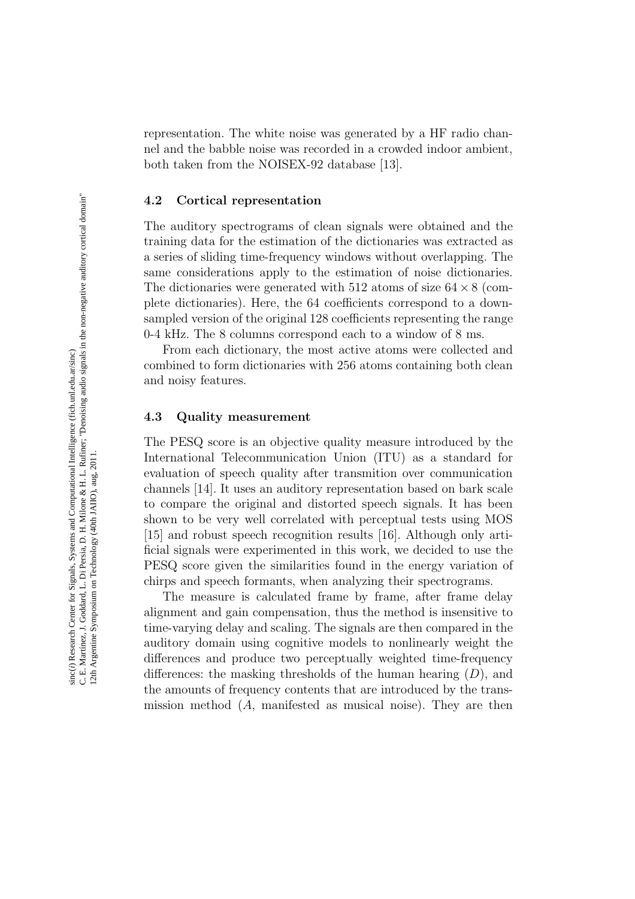representation. The white noise was generated by a HF radio channel and the babble noise was recorded in a crowded indoor ambient, both taken from the NOISEX-92 database [13].

### 4.2 Cortical representation

The auditory spectrograms of clean signals were obtained and the training data for the estimation of the dictionaries was extracted as a series of sliding time-frequency windows without overlapping. The same considerations apply to the estimation of noise dictionaries. The dictionaries were generated with 512 atoms of size  $64 \times 8$  (complete dictionaries). Here, the 64 coefficients correspond to a downsampled version of the original 128 coefficients representing the range 0-4 kHz. The 8 columns correspond each to a window of 8 ms.

From each dictionary, the most active atoms were collected and combined to form dictionaries with 256 atoms containing both clean and noisy features.

### 4.3 Quality measurement

The PESQ score is an objective quality measure introduced by the International Telecommunication Union (ITU) as a standard for evaluation of speech quality after transmition over communication channels [14]. It uses an auditory representation based on bark scale to compare the original and distorted speech signals. It has been shown to be very well correlated with perceptual tests using MOS [15] and robust speech recognition results [16]. Although only artificial signals were experimented in this work, we decided to use the PESQ score given the similarities found in the energy variation of chirps and speech formants, when analyzing their spectrograms.

The measure is calculated frame by frame, after frame delay alignment and gain compensation, thus the method is insensitive to time-varying delay and scaling. The signals are then compared in the auditory domain using cognitive models to nonlinearly weight the differences and produce two perceptually weighted time-frequency differences: the masking thresholds of the human hearing  $(D)$ , and the amounts of frequency contents that are introduced by the transmission method (A, manifested as musical noise). They are then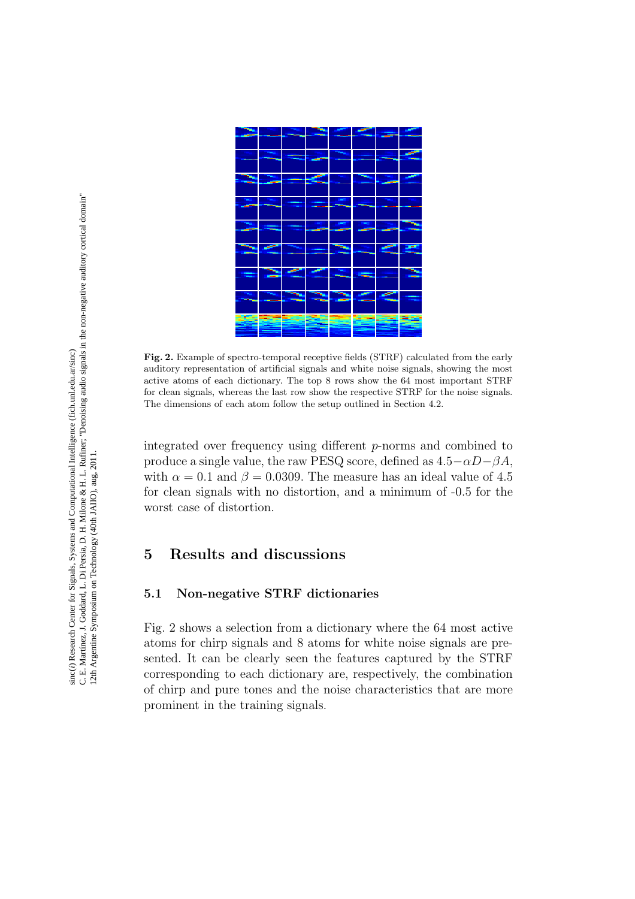

Fig. 2. Example of spectro-temporal receptive fields (STRF) calculated from the early auditory representation of artificial signals and white noise signals, showing the most active atoms of each dictionary. The top 8 rows show the 64 most important STRF for clean signals, whereas the last row show the respective STRF for the noise signals. The dimensions of each atom follow the setup outlined in Section 4.2.

integrated over frequency using different p-norms and combined to produce a single value, the raw PESQ score, defined as  $4.5-\alpha D-\beta A$ , with  $\alpha = 0.1$  and  $\beta = 0.0309$ . The measure has an ideal value of 4.5 for clean signals with no distortion, and a minimum of -0.5 for the worst case of distortion.

# 5 Results and discussions

### 5.1 Non-negative STRF dictionaries

Fig. 2 shows a selection from a dictionary where the 64 most active atoms for chirp signals and 8 atoms for white noise signals are presented. It can be clearly seen the features captured by the STRF corresponding to each dictionary are, respectively, the combination of chirp and pure tones and the noise characteristics that are more prominent in the training signals.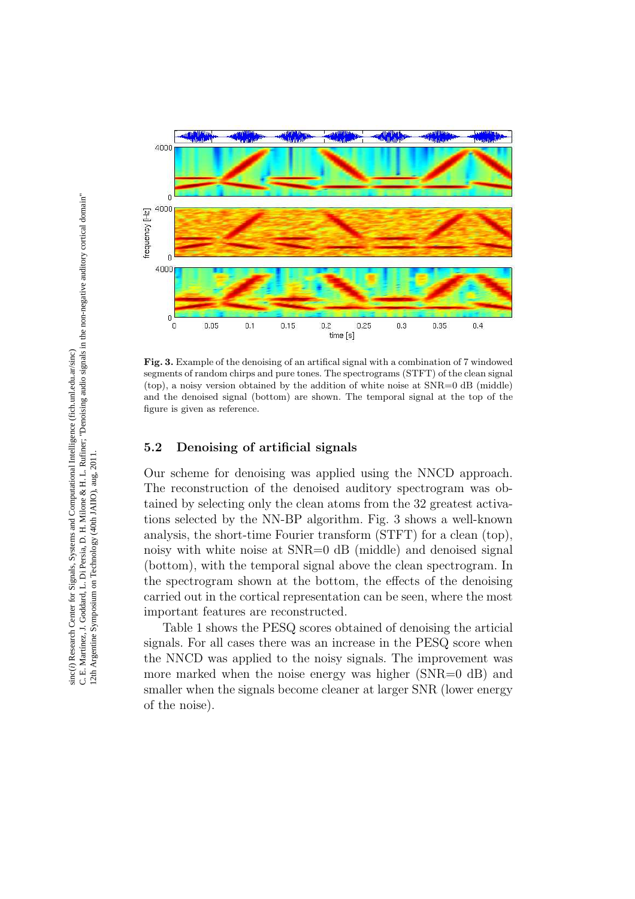

Fig. 3. Example of the denoising of an artifical signal with a combination of 7 windowed segments of random chirps and pure tones. The spectrograms (STFT) of the clean signal (top), a noisy version obtained by the addition of white noise at SNR=0 dB (middle) and the denoised signal (bottom) are shown. The temporal signal at the top of the figure is given as reference.

### 5.2 Denoising of artificial signals

Our scheme for denoising was applied using the NNCD approach. The reconstruction of the denoised auditory spectrogram was obtained by selecting only the clean atoms from the 32 greatest activations selected by the NN-BP algorithm. Fig. 3 shows a well-known analysis, the short-time Fourier transform (STFT) for a clean (top), noisy with white noise at SNR=0 dB (middle) and denoised signal (bottom), with the temporal signal above the clean spectrogram. In the spectrogram shown at the bottom, the effects of the denoising carried out in the cortical representation can be seen, where the most important features are reconstructed.

Table 1 shows the PESQ scores obtained of denoising the articial signals. For all cases there was an increase in the PESQ score when the NNCD was applied to the noisy signals. The improvement was more marked when the noise energy was higher (SNR=0 dB) and smaller when the signals become cleaner at larger SNR (lower energy of the noise).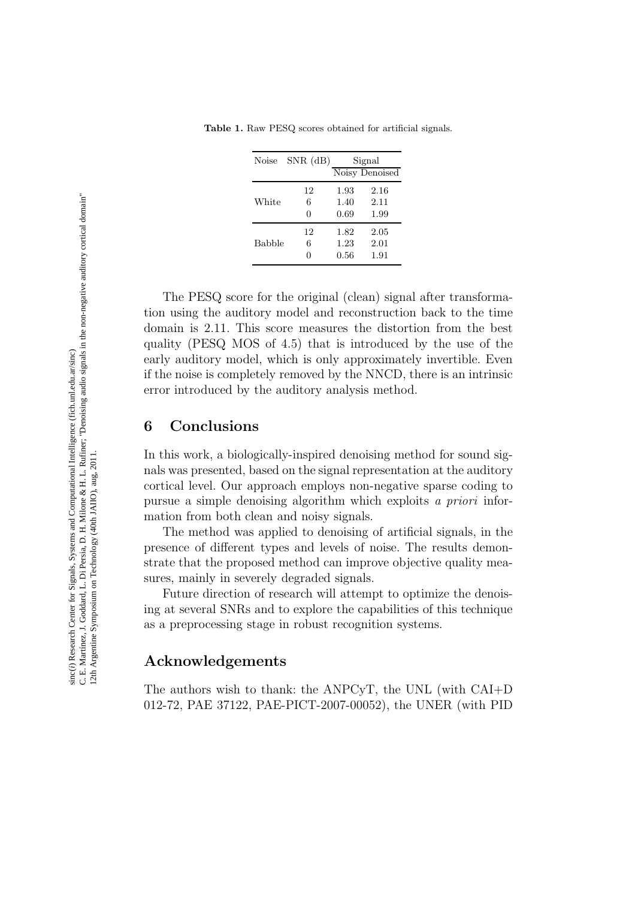| Noise         | $SNR$ (dB)   | Signal<br>Noisy Denoised |                      |
|---------------|--------------|--------------------------|----------------------|
| White         | 12<br>6<br>0 | 1.93<br>1.40<br>0.69     | 2.16<br>2.11<br>1.99 |
| <b>Babble</b> | 12<br>6      | 1.82<br>1.23<br>0.56     | 2.05<br>2.01<br>1.91 |

Table 1. Raw PESQ scores obtained for artificial signals.

The PESQ score for the original (clean) signal after transformation using the auditory model and reconstruction back to the time domain is 2.11. This score measures the distortion from the best quality (PESQ MOS of 4.5) that is introduced by the use of the early auditory model, which is only approximately invertible. Even if the noise is completely removed by the NNCD, there is an intrinsic error introduced by the auditory analysis method.

# 6 Conclusions

In this work, a biologically-inspired denoising method for sound signals was presented, based on the signal representation at the auditory cortical level. Our approach employs non-negative sparse coding to pursue a simple denoising algorithm which exploits a priori information from both clean and noisy signals.

The method was applied to denoising of artificial signals, in the presence of different types and levels of noise. The results demonstrate that the proposed method can improve objective quality measures, mainly in severely degraded signals.

Future direction of research will attempt to optimize the denoising at several SNRs and to explore the capabilities of this technique as a preprocessing stage in robust recognition systems.

# Acknowledgements

The authors wish to thank: the ANPCyT, the UNL (with CAI+D 012-72, PAE 37122, PAE-PICT-2007-00052), the UNER (with PID